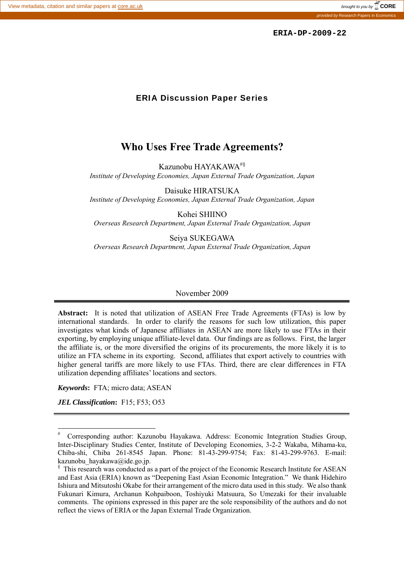provided by Research Papers in Economics

 **ERIA-DP-2009-22**

#### ERIA Discussion Paper Series

## **Who Uses Free Trade Agreements?**

Kazunobu HAYAKAWA#§

*Institute of Developing Economies, Japan External Trade Organization, Japan* 

Daisuke HIRATSUKA *Institute of Developing Economies, Japan External Trade Organization, Japan* 

Kohei SHIINO *Overseas Research Department, Japan External Trade Organization, Japan* 

Seiya SUKEGAWA *Overseas Research Department, Japan External Trade Organization, Japan* 

#### November 2009

**Abstract:** It is noted that utilization of ASEAN Free Trade Agreements (FTAs) is low by international standards. In order to clarify the reasons for such low utilization, this paper investigates what kinds of Japanese affiliates in ASEAN are more likely to use FTAs in their exporting, by employing unique affiliate-level data. Our findings are as follows. First, the larger the affiliate is, or the more diversified the origins of its procurements, the more likely it is to utilize an FTA scheme in its exporting. Second, affiliates that export actively to countries with higher general tariffs are more likely to use FTAs. Third, there are clear differences in FTA utilization depending affiliates' locations and sectors.

*Keywords***:** FTA; micro data; ASEAN

*JEL Classification***:** F15; F53; O53

 $\overline{a}$ 

<sup>#</sup> Corresponding author: Kazunobu Hayakawa. Address: Economic Integration Studies Group, Inter-Disciplinary Studies Center, Institute of Developing Economies, 3-2-2 Wakaba, Mihama-ku, Chiba-shi, Chiba 261-8545 Japan. Phone: 81-43-299-9754; Fax: 81-43-299-9763. E-mail: kazunobu hayakawa@ide.go.jp.

<sup>&</sup>lt;sup>§</sup> This research was conducted as a part of the project of the Economic Research Institute for ASEAN and East Asia (ERIA) known as "Deepening East Asian Economic Integration." We thank Hidehiro Ishiura and Mitsutoshi Okabe for their arrangement of the micro data used in this study. We also thank Fukunari Kimura, Archanun Kohpaiboon, Toshiyuki Matsuura, So Umezaki for their invaluable comments. The opinions expressed in this paper are the sole responsibility of the authors and do not reflect the views of ERIA or the Japan External Trade Organization.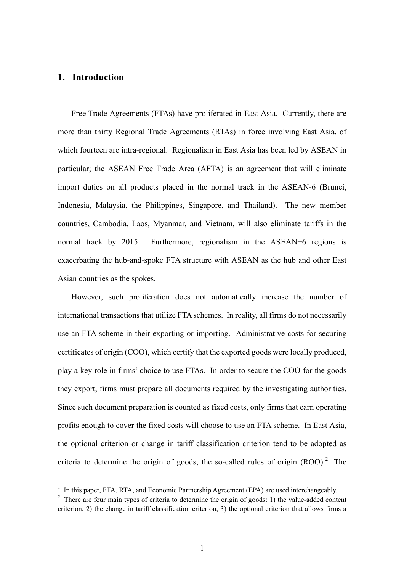#### **1. Introduction**

 $\overline{a}$ 

Free Trade Agreements (FTAs) have proliferated in East Asia. Currently, there are more than thirty Regional Trade Agreements (RTAs) in force involving East Asia, of which fourteen are intra-regional. Regionalism in East Asia has been led by ASEAN in particular; the ASEAN Free Trade Area (AFTA) is an agreement that will eliminate import duties on all products placed in the normal track in the ASEAN-6 (Brunei, Indonesia, Malaysia, the Philippines, Singapore, and Thailand). The new member countries, Cambodia, Laos, Myanmar, and Vietnam, will also eliminate tariffs in the normal track by 2015. Furthermore, regionalism in the ASEAN+6 regions is exacerbating the hub-and-spoke FTA structure with ASEAN as the hub and other East Asian countries as the spokes. $<sup>1</sup>$ </sup>

However, such proliferation does not automatically increase the number of international transactions that utilize FTA schemes. In reality, all firms do not necessarily use an FTA scheme in their exporting or importing. Administrative costs for securing certificates of origin (COO), which certify that the exported goods were locally produced, play a key role in firms' choice to use FTAs. In order to secure the COO for the goods they export, firms must prepare all documents required by the investigating authorities. Since such document preparation is counted as fixed costs, only firms that earn operating profits enough to cover the fixed costs will choose to use an FTA scheme. In East Asia, the optional criterion or change in tariff classification criterion tend to be adopted as criteria to determine the origin of goods, the so-called rules of origin  $(ROO)^2$ . The

<sup>&</sup>lt;sup>1</sup> In this paper, FTA, RTA, and Economic Partnership Agreement (EPA) are used interchangeably.

<sup>&</sup>lt;sup>2</sup> There are four main types of criteria to determine the origin of goods: 1) the value-added content criterion, 2) the change in tariff classification criterion, 3) the optional criterion that allows firms a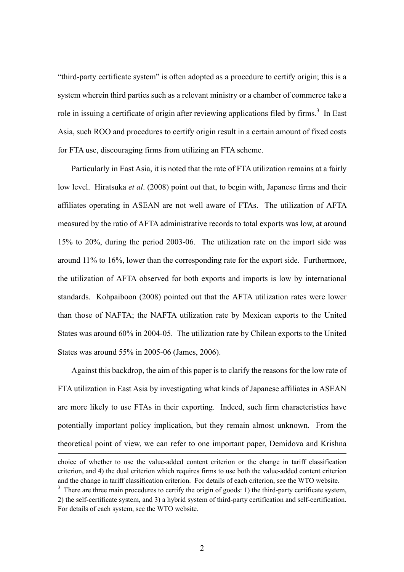"third-party certificate system" is often adopted as a procedure to certify origin; this is a system wherein third parties such as a relevant ministry or a chamber of commerce take a role in issuing a certificate of origin after reviewing applications filed by firms.<sup>3</sup> In East Asia, such ROO and procedures to certify origin result in a certain amount of fixed costs for FTA use, discouraging firms from utilizing an FTA scheme.

Particularly in East Asia, it is noted that the rate of FTA utilization remains at a fairly low level. Hiratsuka *et al*. (2008) point out that, to begin with, Japanese firms and their affiliates operating in ASEAN are not well aware of FTAs. The utilization of AFTA measured by the ratio of AFTA administrative records to total exports was low, at around 15% to 20%, during the period 2003-06. The utilization rate on the import side was around 11% to 16%, lower than the corresponding rate for the export side. Furthermore, the utilization of AFTA observed for both exports and imports is low by international standards. Kohpaiboon (2008) pointed out that the AFTA utilization rates were lower than those of NAFTA; the NAFTA utilization rate by Mexican exports to the United States was around 60% in 2004-05. The utilization rate by Chilean exports to the United States was around 55% in 2005-06 (James, 2006).

Against this backdrop, the aim of this paper is to clarify the reasons for the low rate of FTA utilization in East Asia by investigating what kinds of Japanese affiliates in ASEAN are more likely to use FTAs in their exporting. Indeed, such firm characteristics have potentially important policy implication, but they remain almost unknown. From the theoretical point of view, we can refer to one important paper, Demidova and Krishna 1 choice of whether to use the value-added content criterion or the change in tariff classification

criterion, and 4) the dual criterion which requires firms to use both the value-added content criterion and the change in tariff classification criterion. For details of each criterion, see the WTO website.

 $3$  There are three main procedures to certify the origin of goods: 1) the third-party certificate system, 2) the self-certificate system, and 3) a hybrid system of third-party certification and self-certification. For details of each system, see the WTO website.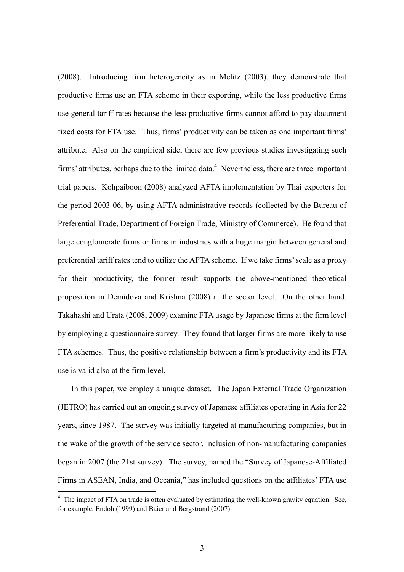(2008). Introducing firm heterogeneity as in Melitz (2003), they demonstrate that productive firms use an FTA scheme in their exporting, while the less productive firms use general tariff rates because the less productive firms cannot afford to pay document fixed costs for FTA use. Thus, firms' productivity can be taken as one important firms' attribute. Also on the empirical side, there are few previous studies investigating such firms' attributes, perhaps due to the limited data. $4$  Nevertheless, there are three important trial papers. Kohpaiboon (2008) analyzed AFTA implementation by Thai exporters for the period 2003-06, by using AFTA administrative records (collected by the Bureau of Preferential Trade, Department of Foreign Trade, Ministry of Commerce). He found that large conglomerate firms or firms in industries with a huge margin between general and preferential tariff rates tend to utilize the AFTA scheme. If we take firms' scale as a proxy for their productivity, the former result supports the above-mentioned theoretical proposition in Demidova and Krishna (2008) at the sector level. On the other hand, Takahashi and Urata (2008, 2009) examine FTA usage by Japanese firms at the firm level by employing a questionnaire survey. They found that larger firms are more likely to use FTA schemes. Thus, the positive relationship between a firm's productivity and its FTA use is valid also at the firm level.

In this paper, we employ a unique dataset. The Japan External Trade Organization (JETRO) has carried out an ongoing survey of Japanese affiliates operating in Asia for 22 years, since 1987. The survey was initially targeted at manufacturing companies, but in the wake of the growth of the service sector, inclusion of non-manufacturing companies began in 2007 (the 21st survey). The survey, named the "Survey of Japanese-Affiliated Firms in ASEAN, India, and Oceania," has included questions on the affiliates' FTA use

 $\overline{a}$ 

 $4\degree$  The impact of FTA on trade is often evaluated by estimating the well-known gravity equation. See, for example, Endoh (1999) and Baier and Bergstrand (2007).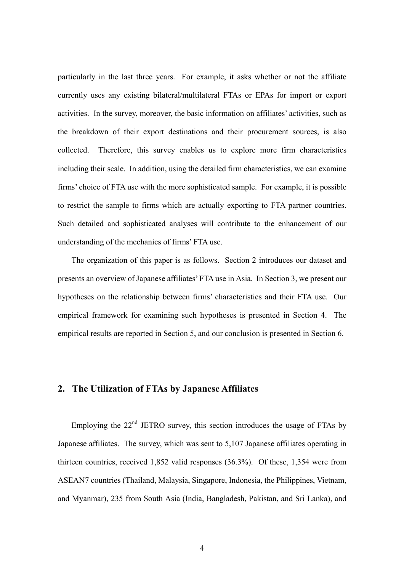particularly in the last three years. For example, it asks whether or not the affiliate currently uses any existing bilateral/multilateral FTAs or EPAs for import or export activities. In the survey, moreover, the basic information on affiliates' activities, such as the breakdown of their export destinations and their procurement sources, is also collected. Therefore, this survey enables us to explore more firm characteristics including their scale. In addition, using the detailed firm characteristics, we can examine firms' choice of FTA use with the more sophisticated sample. For example, it is possible to restrict the sample to firms which are actually exporting to FTA partner countries. Such detailed and sophisticated analyses will contribute to the enhancement of our understanding of the mechanics of firms' FTA use.

The organization of this paper is as follows. Section 2 introduces our dataset and presents an overview of Japanese affiliates' FTA use in Asia. In Section 3, we present our hypotheses on the relationship between firms' characteristics and their FTA use. Our empirical framework for examining such hypotheses is presented in Section 4. The empirical results are reported in Section 5, and our conclusion is presented in Section 6.

#### **2. The Utilization of FTAs by Japanese Affiliates**

Employing the  $22<sup>nd</sup>$  JETRO survey, this section introduces the usage of FTAs by Japanese affiliates. The survey, which was sent to 5,107 Japanese affiliates operating in thirteen countries, received 1,852 valid responses (36.3%). Of these, 1,354 were from ASEAN7 countries (Thailand, Malaysia, Singapore, Indonesia, the Philippines, Vietnam, and Myanmar), 235 from South Asia (India, Bangladesh, Pakistan, and Sri Lanka), and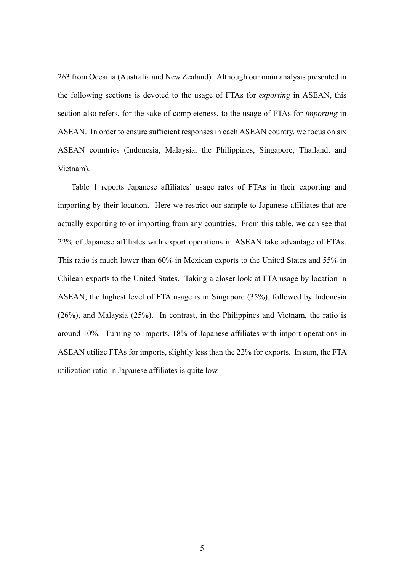263 from Oceania (Australia and New Zealand). Although our main analysis presented in the following sections is devoted to the usage of FTAs for *exporting* in ASEAN, this section also refers, for the sake of completeness, to the usage of FTAs for *importing* in ASEAN. In order to ensure sufficient responses in each ASEAN country, we focus on six ASEAN countries (Indonesia, Malaysia, the Philippines, Singapore, Thailand, and Vietnam).

Table 1 reports Japanese affiliates' usage rates of FTAs in their exporting and importing by their location. Here we restrict our sample to Japanese affiliates that are actually exporting to or importing from any countries. From this table, we can see that 22% of Japanese affiliates with export operations in ASEAN take advantage of FTAs. This ratio is much lower than 60% in Mexican exports to the United States and 55% in Chilean exports to the United States. Taking a closer look at FTA usage by location in ASEAN, the highest level of FTA usage is in Singapore (35%), followed by Indonesia (26%), and Malaysia (25%). In contrast, in the Philippines and Vietnam, the ratio is around 10%. Turning to imports, 18% of Japanese affiliates with import operations in ASEAN utilize FTAs for imports, slightly less than the 22% for exports. In sum, the FTA utilization ratio in Japanese affiliates is quite low.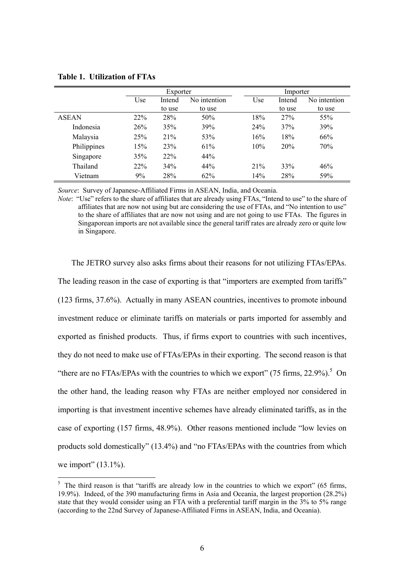|              | Exporter |        |              | Importer |     |        |              |
|--------------|----------|--------|--------------|----------|-----|--------|--------------|
|              | Use      | Intend | No intention |          | Use | Intend | No intention |
|              |          | to use | to use       |          |     | to use | to use       |
| <b>ASEAN</b> | 22%      | 28%    | 50%          |          | 18% | 27%    | 55%          |
| Indonesia    | 26%      | 35%    | 39%          |          | 24% | 37%    | 39%          |
| Malaysia     | 25%      | 21%    | 53%          |          | 16% | 18%    | 66%          |
| Philippines  | 15%      | 23%    | 61%          |          | 10% | 20%    | 70%          |
| Singapore    | 35%      | 22%    | 44%          |          |     |        |              |
| Thailand     | 22%      | 34%    | 44%          |          | 21% | 33%    | 46%          |
| Vietnam      | 9%       | 28%    | 62%          |          | 14% | 28%    | 59%          |

**Table 1. Utilization of FTAs** 

 $\overline{a}$ 

*Source*: Survey of Japanese-Affiliated Firms in ASEAN, India, and Oceania.

*Note*: "Use" refers to the share of affiliates that are already using FTAs, "Intend to use" to the share of affiliates that are now not using but are considering the use of FTAs, and "No intention to use" to the share of affiliates that are now not using and are not going to use FTAs. The figures in Singaporean imports are not available since the general tariff rates are already zero or quite low in Singapore.

The JETRO survey also asks firms about their reasons for not utilizing FTAs/EPAs. The leading reason in the case of exporting is that "importers are exempted from tariffs" (123 firms, 37.6%). Actually in many ASEAN countries, incentives to promote inbound investment reduce or eliminate tariffs on materials or parts imported for assembly and exported as finished products. Thus, if firms export to countries with such incentives, they do not need to make use of FTAs/EPAs in their exporting. The second reason is that "there are no FTAs/EPAs with the countries to which we export" (75 firms,  $22.9\%$ ).<sup>5</sup> On the other hand, the leading reason why FTAs are neither employed nor considered in importing is that investment incentive schemes have already eliminated tariffs, as in the case of exporting (157 firms, 48.9%). Other reasons mentioned include "low levies on products sold domestically" (13.4%) and "no FTAs/EPAs with the countries from which we import" (13.1%).

 $5$  The third reason is that "tariffs are already low in the countries to which we export" (65 firms, 19.9%). Indeed, of the 390 manufacturing firms in Asia and Oceania, the largest proportion (28.2%) state that they would consider using an FTA with a preferential tariff margin in the 3% to 5% range (according to the 22nd Survey of Japanese-Affiliated Firms in ASEAN, India, and Oceania).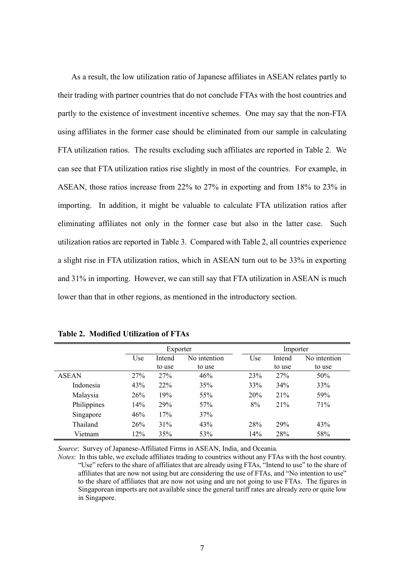As a result, the low utilization ratio of Japanese affiliates in ASEAN relates partly to their trading with partner countries that do not conclude FTAs with the host countries and partly to the existence of investment incentive schemes. One may say that the non-FTA using affiliates in the former case should be eliminated from our sample in calculating FTA utilization ratios. The results excluding such affiliates are reported in Table 2. We can see that FTA utilization ratios rise slightly in most of the countries. For example, in ASEAN, those ratios increase from 22% to 27% in exporting and from 18% to 23% in importing. In addition, it might be valuable to calculate FTA utilization ratios after eliminating affiliates not only in the former case but also in the latter case. Such utilization ratios are reported in Table 3. Compared with Table 2, all countries experience a slight rise in FTA utilization ratios, which in ASEAN turn out to be 33% in exporting and 31% in importing. However, we can still say that FTA utilization in ASEAN is much lower than that in other regions, as mentioned in the introductory section.

|              |     | Exporter               |                 | Importer |        |              |
|--------------|-----|------------------------|-----------------|----------|--------|--------------|
|              | Use | No intention<br>Intend |                 | Use      | Intend | No intention |
|              |     | to use                 | to use          |          | to use | to use       |
| <b>ASEAN</b> | 27% | 27%                    | 46%             | 23%      | 27%    | 50%          |
| Indonesia    | 43% | 22%                    | 35%             | 33%      | 34%    | 33%          |
| Malaysia     | 26% | 19%                    | 55%             | 20%      | 21%    | 59%          |
| Philippines  | 14% | 29%                    | 57 <sub>%</sub> | 8%       | 21%    | 71%          |
| Singapore    | 46% | 17%                    | 37%             |          |        |              |
| Thailand     | 26% | 31%                    | 43%             | 28%      | 29%    | 43%          |
| Vietnam      | 12% | 35%                    | 53%             | 14%      | 28%    | 58%          |

**Table 2. Modified Utilization of FTAs** 

*Source*: Survey of Japanese-Affiliated Firms in ASEAN, India, and Oceania.

*Notes*: In this table, we exclude affiliates trading to countries without any FTAs with the host country. "Use" refers to the share of affiliates that are already using FTAs, "Intend to use" to the share of affiliates that are now not using but are considering the use of FTAs, and "No intention to use" to the share of affiliates that are now not using and are not going to use FTAs. The figures in Singaporean imports are not available since the general tariff rates are already zero or quite low in Singapore.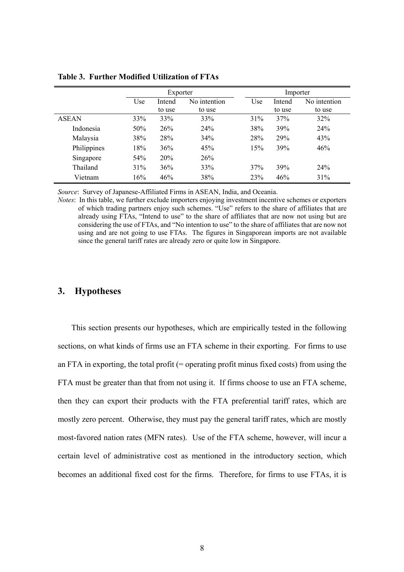|              | Exporter |                        | Importer |     |        |              |
|--------------|----------|------------------------|----------|-----|--------|--------------|
|              | Use      | No intention<br>Intend |          | Use | Intend | No intention |
|              |          | to use                 | to use   |     | to use | to use       |
| <b>ASEAN</b> | 33%      | 33%                    | 33%      | 31% | 37%    | 32%          |
| Indonesia    | 50%      | 26%                    | 24%      | 38% | 39%    | 24%          |
| Malaysia     | 38%      | 28%                    | 34%      | 28% | 29%    | 43%          |
| Philippines  | 18%      | 36%                    | 45%      | 15% | 39%    | 46%          |
| Singapore    | 54%      | 20%                    | 26%      |     |        |              |
| Thailand     | 31%      | 36%                    | 33%      | 37% | 39%    | 24%          |
| Vietnam      | 16%      | 46%                    | 38%      | 23% | 46%    | 31%          |

**Table 3. Further Modified Utilization of FTAs** 

*Source*: Survey of Japanese-Affiliated Firms in ASEAN, India, and Oceania.

*Notes*: In this table, we further exclude importers enjoying investment incentive schemes or exporters of which trading partners enjoy such schemes. "Use" refers to the share of affiliates that are already using FTAs, "Intend to use" to the share of affiliates that are now not using but are considering the use of FTAs, and "No intention to use" to the share of affiliates that are now not using and are not going to use FTAs. The figures in Singaporean imports are not available since the general tariff rates are already zero or quite low in Singapore.

#### **3. Hypotheses**

This section presents our hypotheses, which are empirically tested in the following sections, on what kinds of firms use an FTA scheme in their exporting. For firms to use an FTA in exporting, the total profit  $(=$  operating profit minus fixed costs) from using the FTA must be greater than that from not using it. If firms choose to use an FTA scheme, then they can export their products with the FTA preferential tariff rates, which are mostly zero percent. Otherwise, they must pay the general tariff rates, which are mostly most-favored nation rates (MFN rates). Use of the FTA scheme, however, will incur a certain level of administrative cost as mentioned in the introductory section, which becomes an additional fixed cost for the firms. Therefore, for firms to use FTAs, it is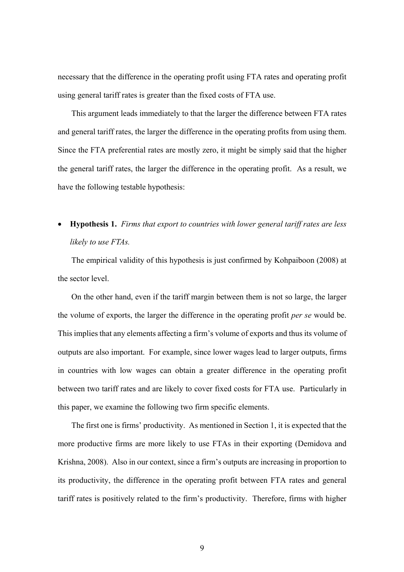necessary that the difference in the operating profit using FTA rates and operating profit using general tariff rates is greater than the fixed costs of FTA use.

This argument leads immediately to that the larger the difference between FTA rates and general tariff rates, the larger the difference in the operating profits from using them. Since the FTA preferential rates are mostly zero, it might be simply said that the higher the general tariff rates, the larger the difference in the operating profit. As a result, we have the following testable hypothesis:

## **Hypothesis 1.** *Firms that export to countries with lower general tariff rates are less likely to use FTAs.*

The empirical validity of this hypothesis is just confirmed by Kohpaiboon (2008) at the sector level.

On the other hand, even if the tariff margin between them is not so large, the larger the volume of exports, the larger the difference in the operating profit *per se* would be. This implies that any elements affecting a firm's volume of exports and thus its volume of outputs are also important. For example, since lower wages lead to larger outputs, firms in countries with low wages can obtain a greater difference in the operating profit between two tariff rates and are likely to cover fixed costs for FTA use. Particularly in this paper, we examine the following two firm specific elements.

The first one is firms' productivity. As mentioned in Section 1, it is expected that the more productive firms are more likely to use FTAs in their exporting (Demidova and Krishna, 2008). Also in our context, since a firm's outputs are increasing in proportion to its productivity, the difference in the operating profit between FTA rates and general tariff rates is positively related to the firm's productivity. Therefore, firms with higher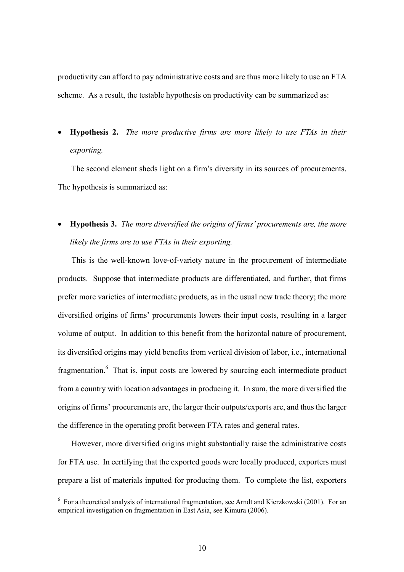productivity can afford to pay administrative costs and are thus more likely to use an FTA scheme. As a result, the testable hypothesis on productivity can be summarized as:

 **Hypothesis 2.** *The more productive firms are more likely to use FTAs in their exporting.*

The second element sheds light on a firm's diversity in its sources of procurements. The hypothesis is summarized as:

 **Hypothesis 3.** *The more diversified the origins of firms' procurements are, the more likely the firms are to use FTAs in their exporting.*

This is the well-known love-of-variety nature in the procurement of intermediate products. Suppose that intermediate products are differentiated, and further, that firms prefer more varieties of intermediate products, as in the usual new trade theory; the more diversified origins of firms' procurements lowers their input costs, resulting in a larger volume of output. In addition to this benefit from the horizontal nature of procurement, its diversified origins may yield benefits from vertical division of labor, i.e., international fragmentation.<sup>6</sup> That is, input costs are lowered by sourcing each intermediate product from a country with location advantages in producing it. In sum, the more diversified the origins of firms' procurements are, the larger their outputs/exports are, and thus the larger the difference in the operating profit between FTA rates and general rates.

However, more diversified origins might substantially raise the administrative costs for FTA use. In certifying that the exported goods were locally produced, exporters must prepare a list of materials inputted for producing them. To complete the list, exporters

 $\overline{a}$ 

<sup>&</sup>lt;sup>6</sup> For a theoretical analysis of international fragmentation, see Arndt and Kierzkowski (2001). For an empirical investigation on fragmentation in East Asia, see Kimura (2006).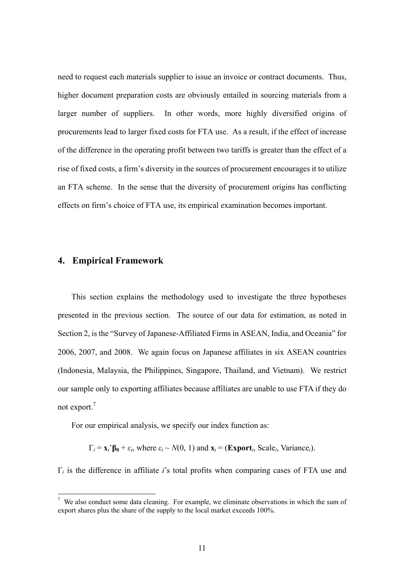need to request each materials supplier to issue an invoice or contract documents. Thus, higher document preparation costs are obviously entailed in sourcing materials from a larger number of suppliers. In other words, more highly diversified origins of procurements lead to larger fixed costs for FTA use. As a result, if the effect of increase of the difference in the operating profit between two tariffs is greater than the effect of a rise of fixed costs, a firm's diversity in the sources of procurement encourages it to utilize an FTA scheme. In the sense that the diversity of procurement origins has conflicting effects on firm's choice of FTA use, its empirical examination becomes important.

## **4. Empirical Framework**

 $\overline{a}$ 

This section explains the methodology used to investigate the three hypotheses presented in the previous section. The source of our data for estimation, as noted in Section 2, is the "Survey of Japanese-Affiliated Firms in ASEAN, India, and Oceania" for 2006, 2007, and 2008. We again focus on Japanese affiliates in six ASEAN countries (Indonesia, Malaysia, the Philippines, Singapore, Thailand, and Vietnam). We restrict our sample only to exporting affiliates because affiliates are unable to use FTA if they do not export.<sup>7</sup>

For our empirical analysis, we specify our index function as:

 $\Gamma_i = \mathbf{x}_i \cdot \mathbf{B_0} + \varepsilon_i$ , where  $\varepsilon_i \sim N(0, 1)$  and  $\mathbf{x}_i = (\text{Export}_i, \text{Scale}_i, \text{Variance}_i)$ .

Γ*i* is the difference in affiliate *i*'s total profits when comparing cases of FTA use and

 $<sup>7</sup>$  We also conduct some data cleaning. For example, we eliminate observations in which the sum of</sup> export shares plus the share of the supply to the local market exceeds 100%.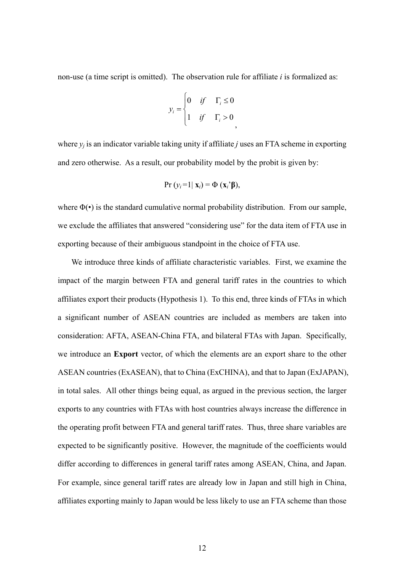non-use (a time script is omitted). The observation rule for affiliate *i* is formalized as:

$$
y_i = \begin{cases} 0 & \text{if} & \Gamma_i \le 0 \\ 1 & \text{if} & \Gamma_i > 0 \end{cases}
$$

where  $y_i$  is an indicator variable taking unity if affiliate *j* uses an FTA scheme in exporting and zero otherwise. As a result, our probability model by the probit is given by:

$$
Pr (y_i=1 | \mathbf{x}_i) = \Phi (\mathbf{x}_i \mathbf{\hat{\beta}}),
$$

where  $\Phi(\cdot)$  is the standard cumulative normal probability distribution. From our sample, we exclude the affiliates that answered "considering use" for the data item of FTA use in exporting because of their ambiguous standpoint in the choice of FTA use.

We introduce three kinds of affiliate characteristic variables. First, we examine the impact of the margin between FTA and general tariff rates in the countries to which affiliates export their products (Hypothesis 1). To this end, three kinds of FTAs in which a significant number of ASEAN countries are included as members are taken into consideration: AFTA, ASEAN-China FTA, and bilateral FTAs with Japan. Specifically, we introduce an **Export** vector, of which the elements are an export share to the other ASEAN countries (ExASEAN), that to China (ExCHINA), and that to Japan (ExJAPAN), in total sales. All other things being equal, as argued in the previous section, the larger exports to any countries with FTAs with host countries always increase the difference in the operating profit between FTA and general tariff rates. Thus, three share variables are expected to be significantly positive. However, the magnitude of the coefficients would differ according to differences in general tariff rates among ASEAN, China, and Japan. For example, since general tariff rates are already low in Japan and still high in China, affiliates exporting mainly to Japan would be less likely to use an FTA scheme than those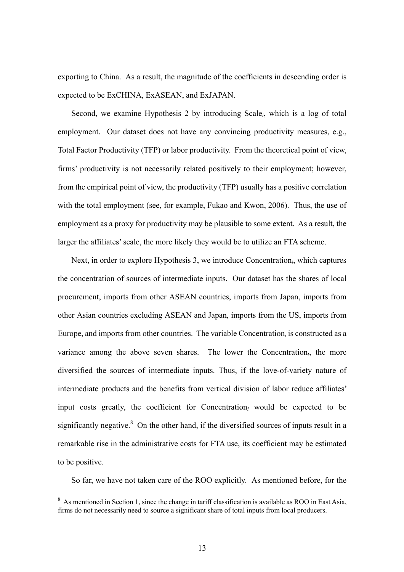exporting to China. As a result, the magnitude of the coefficients in descending order is expected to be ExCHINA, ExASEAN, and ExJAPAN.

Second, we examine Hypothesis 2 by introducing Scale*i*, which is a log of total employment. Our dataset does not have any convincing productivity measures, e.g., Total Factor Productivity (TFP) or labor productivity. From the theoretical point of view, firms' productivity is not necessarily related positively to their employment; however, from the empirical point of view, the productivity (TFP) usually has a positive correlation with the total employment (see, for example, Fukao and Kwon, 2006). Thus, the use of employment as a proxy for productivity may be plausible to some extent. As a result, the larger the affiliates' scale, the more likely they would be to utilize an FTA scheme.

Next, in order to explore Hypothesis 3, we introduce Concentration*i*, which captures the concentration of sources of intermediate inputs. Our dataset has the shares of local procurement, imports from other ASEAN countries, imports from Japan, imports from other Asian countries excluding ASEAN and Japan, imports from the US, imports from Europe, and imports from other countries. The variable Concentration*i* is constructed as a variance among the above seven shares. The lower the Concentration*i*, the more diversified the sources of intermediate inputs. Thus, if the love-of-variety nature of intermediate products and the benefits from vertical division of labor reduce affiliates' input costs greatly, the coefficient for Concentration*i* would be expected to be significantly negative.<sup>8</sup> On the other hand, if the diversified sources of inputs result in a remarkable rise in the administrative costs for FTA use, its coefficient may be estimated to be positive.

So far, we have not taken care of the ROO explicitly. As mentioned before, for the

 $\overline{a}$ 

<sup>&</sup>lt;sup>8</sup> As mentioned in Section 1, since the change in tariff classification is available as ROO in East Asia, firms do not necessarily need to source a significant share of total inputs from local producers.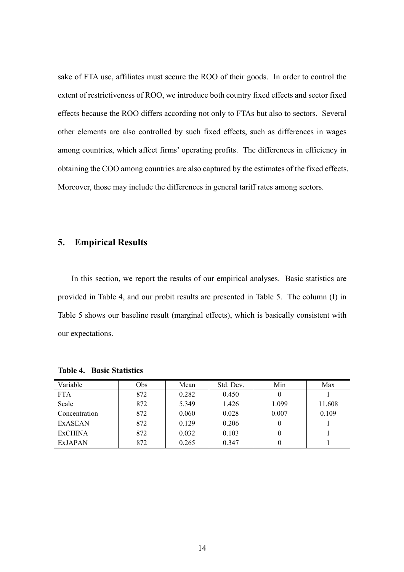sake of FTA use, affiliates must secure the ROO of their goods. In order to control the extent of restrictiveness of ROO, we introduce both country fixed effects and sector fixed effects because the ROO differs according not only to FTAs but also to sectors. Several other elements are also controlled by such fixed effects, such as differences in wages among countries, which affect firms' operating profits. The differences in efficiency in obtaining the COO among countries are also captured by the estimates of the fixed effects. Moreover, those may include the differences in general tariff rates among sectors.

## **5. Empirical Results**

In this section, we report the results of our empirical analyses. Basic statistics are provided in Table 4, and our probit results are presented in Table 5. The column (I) in Table 5 shows our baseline result (marginal effects), which is basically consistent with our expectations.

| Variable       | Obs | Mean  | Std. Dev. | Min   | Max    |
|----------------|-----|-------|-----------|-------|--------|
| <b>FTA</b>     | 872 | 0.282 | 0.450     |       |        |
| Scale          | 872 | 5.349 | 1.426     | 1.099 | 11.608 |
| Concentration  | 872 | 0.060 | 0.028     | 0.007 | 0.109  |
| <b>ExASEAN</b> | 872 | 0.129 | 0.206     |       |        |
| <b>ExCHINA</b> | 872 | 0.032 | 0.103     | O     |        |
| <b>ExJAPAN</b> | 872 | 0.265 | 0.347     |       |        |

**Table 4. Basic Statistics**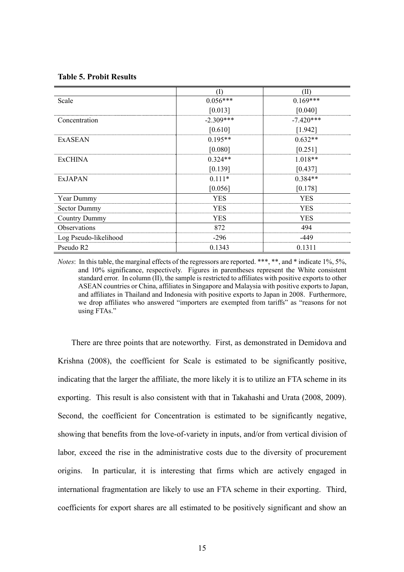#### **Table 5. Probit Results**

|                       | $\left( \Gamma \right)$ | (II)        |
|-----------------------|-------------------------|-------------|
| Scale                 | $0.056***$              | $0.169***$  |
|                       | [0.013]                 | [0.040]     |
| Concentration         | $-2.309***$             | $-7.420***$ |
|                       | [0.610]                 | [1.942]     |
| <b>EXASEAN</b>        | $0.195**$               | $0.632**$   |
|                       | [0.080]                 | [0.251]     |
| <b>ExCHINA</b>        | $0.324**$               | $1.018**$   |
|                       | [0.139]                 | [0.437]     |
| <b>ExJAPAN</b>        | $0.111*$                | $0.384**$   |
|                       | [0.056]                 | [0.178]     |
| Year Dummy            | <b>YES</b>              | <b>YES</b>  |
| <b>Sector Dummy</b>   | <b>YES</b>              | <b>YES</b>  |
| <b>Country Dummy</b>  | <b>YES</b>              | <b>YES</b>  |
| Observations          | 872                     | 494         |
| Log Pseudo-likelihood | $-296$                  | -449        |
| Pseudo R <sub>2</sub> | 0.1343                  | 0.1311      |

*Notes*: In this table, the marginal effects of the regressors are reported. \*\*\*, \*\*, and \* indicate 1%, 5%, and 10% significance, respectively. Figures in parentheses represent the White consistent standard error. In column (II), the sample is restricted to affiliates with positive exports to other ASEAN countries or China, affiliates in Singapore and Malaysia with positive exports to Japan, and affiliates in Thailand and Indonesia with positive exports to Japan in 2008. Furthermore, we drop affiliates who answered "importers are exempted from tariffs" as "reasons for not using FTAs."

There are three points that are noteworthy. First, as demonstrated in Demidova and Krishna (2008), the coefficient for Scale is estimated to be significantly positive, indicating that the larger the affiliate, the more likely it is to utilize an FTA scheme in its exporting. This result is also consistent with that in Takahashi and Urata (2008, 2009). Second, the coefficient for Concentration is estimated to be significantly negative, showing that benefits from the love-of-variety in inputs, and/or from vertical division of labor, exceed the rise in the administrative costs due to the diversity of procurement origins. In particular, it is interesting that firms which are actively engaged in international fragmentation are likely to use an FTA scheme in their exporting. Third, coefficients for export shares are all estimated to be positively significant and show an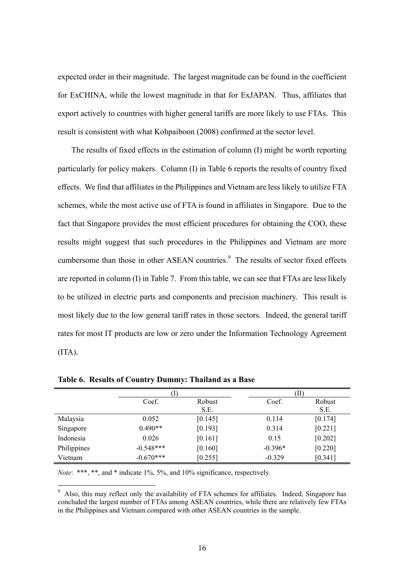expected order in their magnitude. The largest magnitude can be found in the coefficient for ExCHINA, while the lowest magnitude in that for ExJAPAN. Thus, affiliates that export actively to countries with higher general tariffs are more likely to use FTAs. This result is consistent with what Kohpaiboon (2008) confirmed at the sector level.

The results of fixed effects in the estimation of column (I) might be worth reporting particularly for policy makers. Column (I) in Table 6 reports the results of country fixed effects. We find that affiliates in the Philippines and Vietnam are less likely to utilize FTA schemes, while the most active use of FTA is found in affiliates in Singapore. Due to the fact that Singapore provides the most efficient procedures for obtaining the COO, these results might suggest that such procedures in the Philippines and Vietnam are more cumbersome than those in other ASEAN countries.<sup>9</sup> The results of sector fixed effects are reported in column (I) in Table 7. From this table, we can see that FTAs are less likely to be utilized in electric parts and components and precision machinery. This result is most likely due to the low general tariff rates in those sectors. Indeed, the general tariff rates for most IT products are low or zero under the Information Technology Agreement  $(ITA).$ 

|             | I)          |         | (II)      |         |
|-------------|-------------|---------|-----------|---------|
|             | Coef.       | Robust  | Coef.     | Robust  |
|             |             | S.E.    |           | S.E.    |
| Malaysia    | 0.052       | [0.145] | 0.114     | [0.174] |
| Singapore   | $0.490**$   | [0.193] | 0.314     | [0.221] |
| Indonesia   | 0.026       | [0.161] | 0.15      | [0.202] |
| Philippines | $-0.548***$ | [0.160] | $-0.396*$ | [0.220] |
| Vietnam     | $-0.670***$ | [0.255] | $-0.329$  | [0.341] |

**Table 6. Results of Country Dummy: Thailand as a Base** 

*Note*: \*\*\*, \*\*, and \* indicate 1%, 5%, and 10% significance, respectively.

<sup>&</sup>lt;sup>9</sup> Also, this may reflect only the availability of FTA schemes for affiliates. Indeed, Singapore has concluded the largest number of FTAs among ASEAN countries, while there are relatively few FTAs in the Philippines and Vietnam compared with other ASEAN countries in the sample.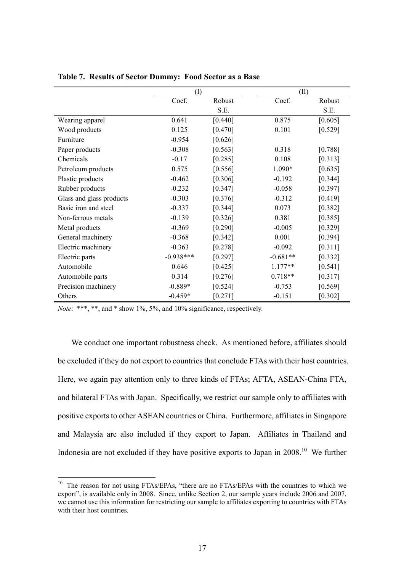|                          | (I)         |         | (II)       |         |
|--------------------------|-------------|---------|------------|---------|
|                          | Coef.       | Robust  | Coef.      | Robust  |
|                          |             | S.E.    |            | S.E.    |
| Wearing apparel          | 0.641       | [0.440] | 0.875      | [0.605] |
| Wood products            | 0.125       | [0.470] | 0.101      | [0.529] |
| Furniture                | $-0.954$    | [0.626] |            |         |
| Paper products           | $-0.308$    | [0.563] | 0.318      | [0.788] |
| Chemicals                | $-0.17$     | [0.285] | 0.108      | [0.313] |
| Petroleum products       | 0.575       | [0.556] | 1.090*     | [0.635] |
| Plastic products         | $-0.462$    | [0.306] | $-0.192$   | [0.344] |
| Rubber products          | $-0.232$    | [0.347] | $-0.058$   | [0.397] |
| Glass and glass products | $-0.303$    | [0.376] | $-0.312$   | [0.419] |
| Basic iron and steel     | $-0.337$    | [0.344] | 0.073      | [0.382] |
| Non-ferrous metals       | $-0.139$    | [0.326] | 0.381      | [0.385] |
| Metal products           | $-0.369$    | [0.290] | $-0.005$   | [0.329] |
| General machinery        | $-0.368$    | [0.342] | 0.001      | [0.394] |
| Electric machinery       | $-0.363$    | [0.278] | $-0.092$   | [0.311] |
| Electric parts           | $-0.938***$ | [0.297] | $-0.681**$ | [0.332] |
| Automobile               | 0.646       | [0.425] | $1.177**$  | [0.541] |
| Automobile parts         | 0.314       | [0.276] | $0.718**$  | [0.317] |
| Precision machinery      | $-0.889*$   | [0.524] | $-0.753$   | [0.569] |
| Others                   | $-0.459*$   | [0.271] | $-0.151$   | [0.302] |

**Table 7. Results of Sector Dummy: Food Sector as a Base** 

*Note*: \*\*\*, \*\*, and \* show 1%, 5%, and 10% significance, respectively.

 $\overline{a}$ 

We conduct one important robustness check. As mentioned before, affiliates should be excluded if they do not export to countries that conclude FTAs with their host countries. Here, we again pay attention only to three kinds of FTAs; AFTA, ASEAN-China FTA, and bilateral FTAs with Japan. Specifically, we restrict our sample only to affiliates with positive exports to other ASEAN countries or China. Furthermore, affiliates in Singapore and Malaysia are also included if they export to Japan. Affiliates in Thailand and Indonesia are not excluded if they have positive exports to Japan in  $2008$ <sup>10</sup>. We further

 $10$  The reason for not using FTAs/EPAs, "there are no FTAs/EPAs with the countries to which we export", is available only in 2008. Since, unlike Section 2, our sample years include 2006 and 2007, we cannot use this information for restricting our sample to affiliates exporting to countries with FTAs with their host countries.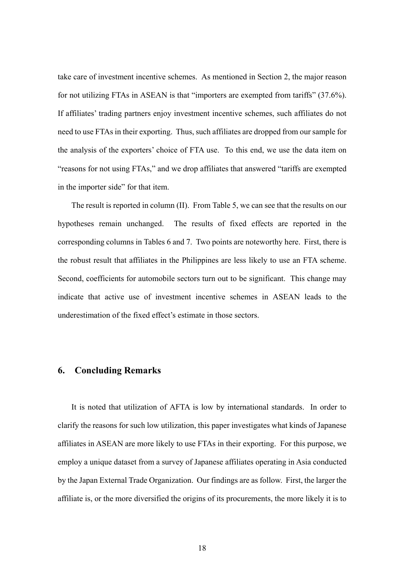take care of investment incentive schemes. As mentioned in Section 2, the major reason for not utilizing FTAs in ASEAN is that "importers are exempted from tariffs" (37.6%). If affiliates' trading partners enjoy investment incentive schemes, such affiliates do not need to use FTAs in their exporting. Thus, such affiliates are dropped from our sample for the analysis of the exporters' choice of FTA use. To this end, we use the data item on "reasons for not using FTAs," and we drop affiliates that answered "tariffs are exempted in the importer side" for that item.

The result is reported in column (II). From Table 5, we can see that the results on our hypotheses remain unchanged. The results of fixed effects are reported in the corresponding columns in Tables 6 and 7. Two points are noteworthy here. First, there is the robust result that affiliates in the Philippines are less likely to use an FTA scheme. Second, coefficients for automobile sectors turn out to be significant. This change may indicate that active use of investment incentive schemes in ASEAN leads to the underestimation of the fixed effect's estimate in those sectors.

#### **6. Concluding Remarks**

It is noted that utilization of AFTA is low by international standards. In order to clarify the reasons for such low utilization, this paper investigates what kinds of Japanese affiliates in ASEAN are more likely to use FTAs in their exporting. For this purpose, we employ a unique dataset from a survey of Japanese affiliates operating in Asia conducted by the Japan External Trade Organization. Our findings are as follow. First, the larger the affiliate is, or the more diversified the origins of its procurements, the more likely it is to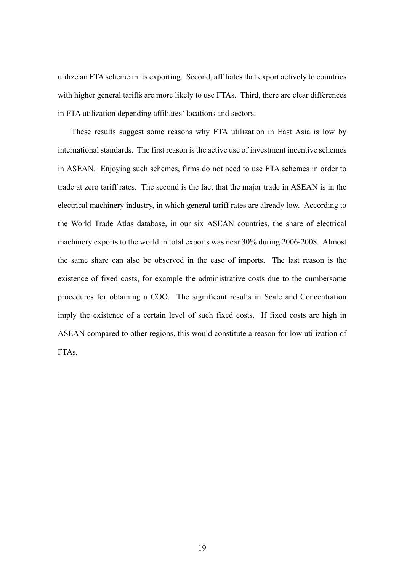utilize an FTA scheme in its exporting. Second, affiliates that export actively to countries with higher general tariffs are more likely to use FTAs. Third, there are clear differences in FTA utilization depending affiliates' locations and sectors.

These results suggest some reasons why FTA utilization in East Asia is low by international standards. The first reason is the active use of investment incentive schemes in ASEAN. Enjoying such schemes, firms do not need to use FTA schemes in order to trade at zero tariff rates. The second is the fact that the major trade in ASEAN is in the electrical machinery industry, in which general tariff rates are already low. According to the World Trade Atlas database, in our six ASEAN countries, the share of electrical machinery exports to the world in total exports was near 30% during 2006-2008. Almost the same share can also be observed in the case of imports. The last reason is the existence of fixed costs, for example the administrative costs due to the cumbersome procedures for obtaining a COO. The significant results in Scale and Concentration imply the existence of a certain level of such fixed costs. If fixed costs are high in ASEAN compared to other regions, this would constitute a reason for low utilization of FTAs.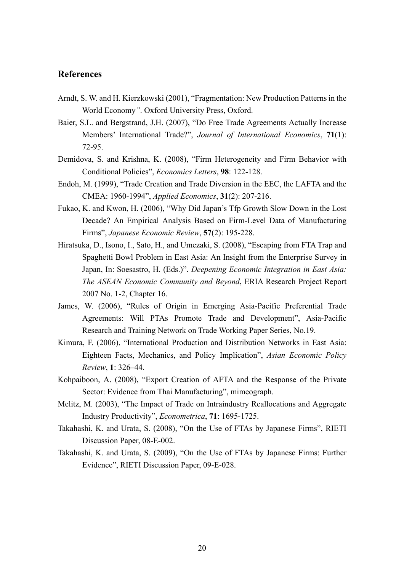## **References**

- Arndt, S. W. and H. Kierzkowski (2001), "Fragmentation: New Production Patterns in the World Economy*"*. Oxford University Press, Oxford.
- Baier, S.L. and Bergstrand, J.H. (2007), "Do Free Trade Agreements Actually Increase Members' International Trade?", *Journal of International Economics*, **71**(1): 72-95.
- Demidova, S. and Krishna, K. (2008), "Firm Heterogeneity and Firm Behavior with Conditional Policies", *Economics Letters*, **98**: 122-128.
- Endoh, M. (1999), "Trade Creation and Trade Diversion in the EEC, the LAFTA and the CMEA: 1960-1994", *Applied Economics*, **31**(2): 207-216.
- Fukao, K. and Kwon, H. (2006), "Why Did Japan's Tfp Growth Slow Down in the Lost Decade? An Empirical Analysis Based on Firm-Level Data of Manufacturing Firms", *Japanese Economic Review*, **57**(2): 195-228.
- Hiratsuka, D., Isono, I., Sato, H., and Umezaki, S. (2008), "Escaping from FTA Trap and Spaghetti Bowl Problem in East Asia: An Insight from the Enterprise Survey in Japan, In: Soesastro, H. (Eds.)". *Deepening Economic Integration in East Asia: The ASEAN Economic Community and Beyond*, ERIA Research Project Report 2007 No. 1-2, Chapter 16.
- James, W. (2006), "Rules of Origin in Emerging Asia-Pacific Preferential Trade Agreements: Will PTAs Promote Trade and Development", Asia-Pacific Research and Training Network on Trade Working Paper Series, No.19.
- Kimura, F. (2006), "International Production and Distribution Networks in East Asia: Eighteen Facts, Mechanics, and Policy Implication", *Asian Economic Policy Review*, **1**: 326–44.
- Kohpaiboon, A. (2008), "Export Creation of AFTA and the Response of the Private Sector: Evidence from Thai Manufacturing", mimeograph.
- Melitz, M. (2003), "The Impact of Trade on Intraindustry Reallocations and Aggregate Industry Productivity", *Econometrica*, **71**: 1695-1725.
- Takahashi, K. and Urata, S. (2008), "On the Use of FTAs by Japanese Firms", RIETI Discussion Paper, 08-E-002.
- Takahashi, K. and Urata, S. (2009), "On the Use of FTAs by Japanese Firms: Further Evidence", RIETI Discussion Paper, 09-E-028.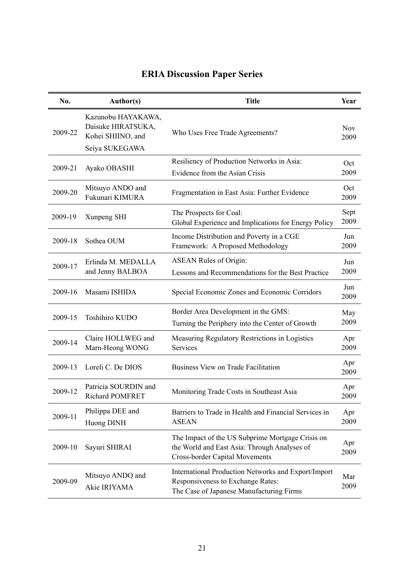| No.     | Author(s)                                                                       | <b>Title</b>                                                                                                                              | Year               |
|---------|---------------------------------------------------------------------------------|-------------------------------------------------------------------------------------------------------------------------------------------|--------------------|
| 2009-22 | Kazunobu HAYAKAWA,<br>Daisuke HIRATSUKA,<br>Kohei SHIINO, and<br>Seiya SUKEGAWA | Who Uses Free Trade Agreements?                                                                                                           | <b>Nov</b><br>2009 |
| 2009-21 | Ayako OBASHI                                                                    | Resiliency of Production Networks in Asia:<br>Evidence from the Asian Crisis                                                              | Oct<br>2009        |
| 2009-20 | Mitsuyo ANDO and<br>Fukunari KIMURA                                             | Fragmentation in East Asia: Further Evidence                                                                                              | Oct<br>2009        |
| 2009-19 | Xunpeng SHI                                                                     | The Prospects for Coal:<br>Global Experience and Implications for Energy Policy                                                           | Sept<br>2009       |
| 2009-18 | Sothea OUM                                                                      | Income Distribution and Poverty in a CGE<br>Framework: A Proposed Methodology                                                             | Jun<br>2009        |
| 2009-17 | Erlinda M. MEDALLA<br>and Jenny BALBOA                                          | <b>ASEAN Rules of Origin:</b><br>Lessons and Recommendations for the Best Practice                                                        | Jun<br>2009        |
| 2009-16 | Masami ISHIDA                                                                   | Special Economic Zones and Economic Corridors                                                                                             | Jun<br>2009        |
| 2009-15 | Toshihiro KUDO                                                                  | Border Area Development in the GMS:<br>Turning the Periphery into the Center of Growth                                                    | May<br>2009        |
| 2009-14 | Claire HOLLWEG and<br>Marn-Heong WONG                                           | Measuring Regulatory Restrictions in Logistics<br>Services                                                                                | Apr<br>2009        |
| 2009-13 | Loreli C. De DIOS                                                               | <b>Business View on Trade Facilitation</b>                                                                                                | Apr<br>2009        |
| 2009-12 | Patricia SOURDIN and<br><b>Richard POMFRET</b>                                  | Monitoring Trade Costs in Southeast Asia                                                                                                  | Apr<br>2009        |
| 2009-11 | Philippa DEE and<br>Huong DINH                                                  | Barriers to Trade in Health and Financial Services in<br><b>ASEAN</b>                                                                     | Apr<br>2009        |
| 2009-10 | Sayuri SHIRAI                                                                   | The Impact of the US Subprime Mortgage Crisis on<br>the World and East Asia: Through Analyses of<br><b>Cross-border Capital Movements</b> | Apr<br>2009        |
| 2009-09 | Mitsuyo ANDO and<br>Akie IRIYAMA                                                | International Production Networks and Export/Import<br>Responsiveness to Exchange Rates:<br>The Case of Japanese Manufacturing Firms      | Mar<br>2009        |

# **ERIA Discussion Paper Series**